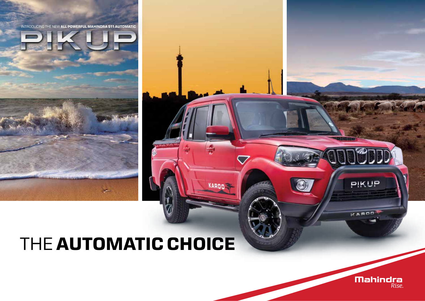

KARDD

INTRODUCING THE NEW **ALL POWERFUL MAHINDRA S11 AUTOMATIC**



PIKUP

KAROO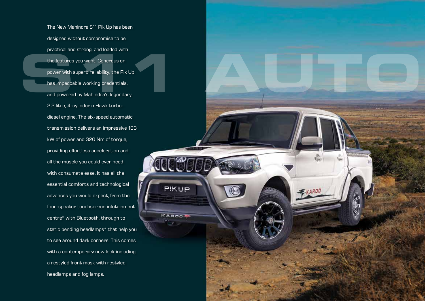**Change the features you want. Generous on**<br>
power with superb reliability, the Pik Up<br>
has impeccable working credentials,<br>
and powered by Mahindra's legendary The New Mahindra S11 Pik Up has been designed without compromise to be practical and strong, and loaded with the features you want. Generous on power with superb reliability, the Pik Up has impeccable working credentials, and powered by Mahindra's legendary 2.2 litre, 4-cylinder mHawk turbodiesel engine. The six-speed automatic transmission delivers an impressive 103 kW of power and 320 Nm of torque, providing effortless acceleration and all the muscle you could ever need with consumate ease. It has all the essential comforts and technological advances you would expect, from the four-speaker touchscreen infotainment centre\* with Bluetooth, through to static bending headlamps\* that help you to see around dark corners. This comes with a contemporary new look including a restyled front mask with restyled headlamps and fog lamps.

PIKUP

**KARDO**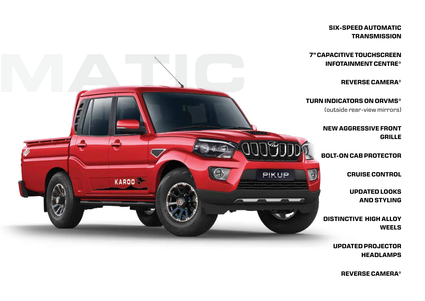## **SIX-SPEED AUTOMATIC TRANSMISSION**

T<sup>or</sup> CAPACITIVE TOUR<br>
INFOTAINMEN<br>
REVERSE<br>
TURN INDICATORS O **7" CAPACITIVE TOUCHSCREEN INFOTAINMENT CENTRE\***

**REVERSE CAMERA\***

**TURN INDICATORS ON ORVMS\*** (outside rear-view mirrors)

**ATIC** 

**KARDO** 

**NEW AGGRESSIVE FRONT GRILLE**

**BOLT-ON CAB PROTECTOR**

 $\overline{\Theta}$ 

PIKUP

**CRUISE CONTROL**

**UPDATED LOOKS AND STYLING**

**DISTINCTIVE HIGH ALLOY WEELS**

> **UPDATED PROJECTOR HEADLAMPS**

> > **REVERSE CAMERA\***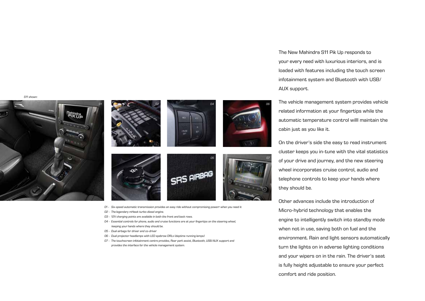*S11 shown:*







- *01 Six-speed automatic transmission provides an easy ride without compromising powerr when you need it*
- *02 The legendary mHawk turbo-diesel engine.*
- *03 12V charging points are available in both the front and back rows.*
- *04 Essential controls for phone, audio and cruise functions are at your fingertips on the steering wheel, keeping your hands where they should be.*
- *05 Dual airbags for driver and co-driver*
- *06 Dual projector headlamps with LED eyebrow DRLs (daytime running lamps)*
- *07 The touchscreen infotainment centre provides, Rear park assist, Bluetooth, USB/AUX support and provides the interface for the vehicle management system.*

The New Mahindra S11 Pik Up responds to your every need with luxurious interiors, and is loaded with features including the touch screen infotainment system and Bluetooth with USB/ AUX support.

The vehicle management system provides vehicle related information at your fingertips while the automatic temperature control willl maintain the cabin just as you like it.

On the driver's side the easy to read instrument cluster keeps you in-tune with the vital statistics of your drive and journey, and the new steering wheel incorporates cruise control, audio and telephone controls to keep your hands where they should be.

Other advances include the introduction of Micro-hybrid technology that enables the engine to intelligently switch into standby mode when not in use, saving both on fuel and the environment. Rain and light sensors automatically turn the lights on in adverse lighting conditions and your wipers on in the rain. The driver's seat is fully height adjustable to ensure your perfect comfort and ride position.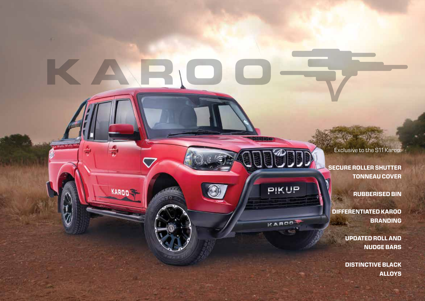PIKUP

KARDO

KANBI

KARDO

Exclusive to the S11 Karoo:

**SECURE ROLLER SHUTTER TONNEAU COVER**

**RUBBERISED BIN** 

**DIFFERENTIATED KAROO BRANDING**

> **UPDATED ROLL AND NUDGE BARS**

**DISTINCTIVE BLACK ALLOYS**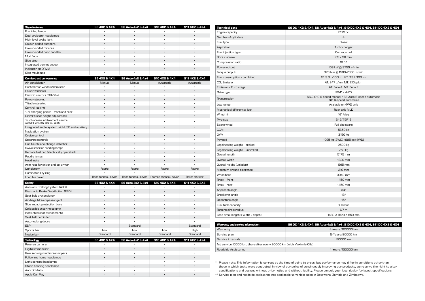| <b>Style features</b>                                                       | S6 4X2 & 4X4       | <b>S6 Auto 4x2 &amp; 4x4</b> | S10 4X2 & 4X4        | S11 4X2 & 4X4  | <b>Technical data</b>                                                | S6 DC 4X2 & 4X4, S6 Auto 4x2 & 4x4, S10 DC 4X2 & 4X4, S11 DC 4X2 & 4X4                                                                                                                                                                                                 |
|-----------------------------------------------------------------------------|--------------------|------------------------------|----------------------|----------------|----------------------------------------------------------------------|------------------------------------------------------------------------------------------------------------------------------------------------------------------------------------------------------------------------------------------------------------------------|
| Front fog lamps                                                             |                    |                              |                      |                | Engine capacity                                                      | 2179 cc                                                                                                                                                                                                                                                                |
| Dual projector headlamps                                                    |                    |                              |                      |                | Number of cylinders                                                  | $\overline{4}$                                                                                                                                                                                                                                                         |
| High-level brake light                                                      |                    | $\bullet$                    | $\bullet$            | $\bullet$      | Fuel type                                                            | Diesel                                                                                                                                                                                                                                                                 |
| Colour-coded bumpers                                                        |                    |                              |                      |                |                                                                      |                                                                                                                                                                                                                                                                        |
| Colour-coded mirrors                                                        |                    | $\bullet$                    | $\bullet$            | $\bullet$      | Aspiration                                                           | Turbocharger                                                                                                                                                                                                                                                           |
| Colour-coded door handles                                                   |                    |                              |                      |                | Fuel injection type                                                  | Common rail                                                                                                                                                                                                                                                            |
| Mud flaps                                                                   |                    | $\cdot$                      | $\cdot$              |                | Bore x stroke                                                        | 85 x 96 mm                                                                                                                                                                                                                                                             |
| Side step<br>Integrated bonnet scoop                                        |                    | $\cdot$                      | $\bullet$            | $\bullet$      | Compression ratio                                                    | 16.5:1                                                                                                                                                                                                                                                                 |
| Indicator on ORVM                                                           |                    |                              |                      |                | Power output                                                         | 103 kW @ 3750 r/min                                                                                                                                                                                                                                                    |
| Side mouldings                                                              |                    | $\bullet$                    |                      | $\bullet$      | Torque output                                                        | 320 Nm @ 1500-2800 r/min                                                                                                                                                                                                                                               |
|                                                                             | S6 4X2 & 4X4       | S6 Auto 4x2 & 4x4            | S10 4X2 & 4X4        | S11 4X2 & 4X4  | Fuel consumption - combined                                          | AT: 9.3 L/100km MT: 7.9 L/100 km                                                                                                                                                                                                                                       |
| <b>Comfort and convenience</b><br>Air conditioner                           | Manua              | Manual                       | Automatic            | Automatic      | CO <sub>2</sub> Emission                                             | AT: 247 g/km MT: 210 g/km                                                                                                                                                                                                                                              |
| Heated rear window/demister                                                 |                    | $\cdot$                      | $\cdot$              |                | Emission - Euro stage                                                | AT: Euro 4 MT: Euro 2                                                                                                                                                                                                                                                  |
| Power windows                                                               |                    |                              |                      |                |                                                                      |                                                                                                                                                                                                                                                                        |
| Electric mirrors (ORVMs)                                                    |                    |                              |                      |                | Drive type                                                           | 2WD / 4WD                                                                                                                                                                                                                                                              |
| Power steering                                                              |                    |                              |                      |                | Transmission                                                         | S6 & S10 6-speed manual / S6 Auto 6-speed automatic<br>S11 6-speed automatic                                                                                                                                                                                           |
| Tiltable steering                                                           |                    |                              | $\cdot$              | $\bullet$      | Low range                                                            | Available on 4WD only                                                                                                                                                                                                                                                  |
| Central locking                                                             |                    |                              |                      |                | Mechanical differential lock                                         | Rear axle MLD                                                                                                                                                                                                                                                          |
| 12V charging points - front and rear                                        |                    |                              | $\cdot$              | $\bullet$      |                                                                      |                                                                                                                                                                                                                                                                        |
| Driver's seat height adjustment                                             |                    |                              |                      |                | Wheel rim                                                            | 16" Alloy                                                                                                                                                                                                                                                              |
| Touch screen infotainment centre                                            |                    |                              |                      |                | Tyre size                                                            | 245/75R16                                                                                                                                                                                                                                                              |
| with Bluetooth, USB & AUX<br>Integrated audio system with USB and auxiliary |                    |                              |                      |                | Spare wheel                                                          | Full size spare                                                                                                                                                                                                                                                        |
| Navigation system                                                           |                    |                              |                      |                | <b>GCM</b>                                                           | 5650 kg                                                                                                                                                                                                                                                                |
| Cruise control                                                              |                    |                              |                      |                | <b>GVM</b>                                                           | 3150 kg                                                                                                                                                                                                                                                                |
| Steering controls                                                           |                    |                              | $\cdot$              | $\cdot$        | Payload                                                              | 1095 kg (2WD) /995 kg (4WD)                                                                                                                                                                                                                                            |
| One touch lane change indicator                                             |                    |                              |                      |                | Legal towing weight - braked                                         | 2500 kg                                                                                                                                                                                                                                                                |
| Swivel interior reading lamps                                               |                    | $\cdot$                      | $\cdot$              | $\bullet$      | Legal towing weight - unbraked                                       | 750 kg                                                                                                                                                                                                                                                                 |
| Remote fuel cap (electrically operated)                                     |                    |                              |                      |                |                                                                      |                                                                                                                                                                                                                                                                        |
| Puddle lamps                                                                | $\sim$             | $\sim$                       | $\bullet$            | $\bullet$      | Overall length                                                       | 5175 mm                                                                                                                                                                                                                                                                |
| Headrests                                                                   |                    |                              |                      |                | Overall width                                                        | 1820 mm                                                                                                                                                                                                                                                                |
| Arm rest for driver and co-driver                                           | $\bullet$          | $\cdot$                      | $\cdot$              | $\cdot$        | Overall height (unladen)                                             | 1915 mm                                                                                                                                                                                                                                                                |
| Upholstery                                                                  | Fabric             | Fabric                       | Fabric               | Fabric         | Minimum ground clearance                                             | 210 mm                                                                                                                                                                                                                                                                 |
| Illuminated key ring                                                        |                    |                              |                      |                | Wheelbase                                                            | 3040 mm                                                                                                                                                                                                                                                                |
| Load bin cover                                                              | Base tonneau cover | Base tonneau cover           | Framed tonneau cover | Roller shutter | Track - front                                                        | 1450 mm                                                                                                                                                                                                                                                                |
| Safety                                                                      | S6 4X2 & 4X4       | <b>S6 Auto 4x2 &amp; 4x4</b> | S10 4X2 & 4X4        | S11 4X2 & 4X4  | Track - rear                                                         | 1450 mm                                                                                                                                                                                                                                                                |
| Anti-lock Braking System (ABS)                                              |                    |                              |                      |                | Approach angle                                                       | $34^\circ$                                                                                                                                                                                                                                                             |
| Electronic Brake Distribution (EBD)                                         |                    |                              |                      |                |                                                                      | 18°                                                                                                                                                                                                                                                                    |
| Seat belt pretensioner                                                      |                    |                              |                      |                | Breakover angle                                                      |                                                                                                                                                                                                                                                                        |
| Air-bags (driver/passenger)                                                 |                    |                              |                      |                | Departure angle                                                      | 15°                                                                                                                                                                                                                                                                    |
| Side impact protection bars                                                 |                    |                              |                      |                | Fuel tank capacity                                                   | 80 litres                                                                                                                                                                                                                                                              |
| Collapsible steering column                                                 |                    |                              |                      |                | Turning circle radius                                                | 6.7 m                                                                                                                                                                                                                                                                  |
| Isofix child seat attachments<br>Seat belt reminder                         |                    |                              |                      |                | Load area (length x width x depth)                                   | 1489 X 1520 X 550 mm                                                                                                                                                                                                                                                   |
| Auto-locking doors                                                          |                    | $\bullet$                    | $\bullet$            | $\bullet$      |                                                                      |                                                                                                                                                                                                                                                                        |
| ESP                                                                         |                    | Standard                     |                      | Standard       | Warranty and service information                                     | S6 DC 4X2 & 4X4, S6 Auto 4x2 & 4x4, S10 DC 4X2 & 4X4, S11 DC 4X2 & 4X4                                                                                                                                                                                                 |
| Sports bar                                                                  | Low                | Low                          | Low                  | High           | Warranty                                                             | 4-Years/120000 km                                                                                                                                                                                                                                                      |
| Nudge bar                                                                   | Standard           | Standard                     | Standard             | Standard       | Service plan                                                         | 5-Years/90000 km                                                                                                                                                                                                                                                       |
|                                                                             |                    |                              |                      |                | Service intervals                                                    | 20000 km                                                                                                                                                                                                                                                               |
| <b>Technology</b>                                                           | S6 4X2 & 4X4       | S6 Auto 4x2 & 4x4            | S10 4X2 & 4X4        | S11 4X2 & 4X4  |                                                                      |                                                                                                                                                                                                                                                                        |
| Reverse camera                                                              |                    |                              |                      |                | 1st service 10000 km, thereafter every 20000 km (with Maximile Oils) |                                                                                                                                                                                                                                                                        |
| Digital immobilser<br>Rain sensing windscreen wipers                        |                    |                              | $\cdot$              | $\bullet$      | Roadside Assistance                                                  | 4-Years/120000 km                                                                                                                                                                                                                                                      |
|                                                                             |                    |                              |                      |                |                                                                      |                                                                                                                                                                                                                                                                        |
| Follow me home headlamps<br>Light sensing headlamps                         |                    |                              |                      |                |                                                                      |                                                                                                                                                                                                                                                                        |
| Static bending headlamps                                                    |                    |                              |                      |                |                                                                      | * Please note: This information is correct at the time of going to press, but performance may differ in conditions other than                                                                                                                                          |
| Android Auto                                                                |                    | $\sim$                       |                      |                |                                                                      | those in which tests were conducted. In view of our policy of continuously improving our products, we reserve the right to alter<br>specifications and designs without prior notice and without liability. Please consult your local dealer for latest specifications. |
| Apple Car Play                                                              |                    |                              |                      |                |                                                                      | ** Service plan and roadside assistance not applicable to vehicle sales in Botswana, Zambia and Zimbabwe.                                                                                                                                                              |
|                                                                             |                    |                              |                      |                |                                                                      |                                                                                                                                                                                                                                                                        |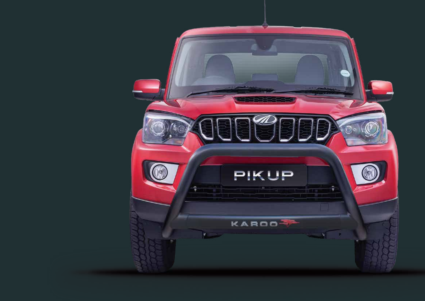